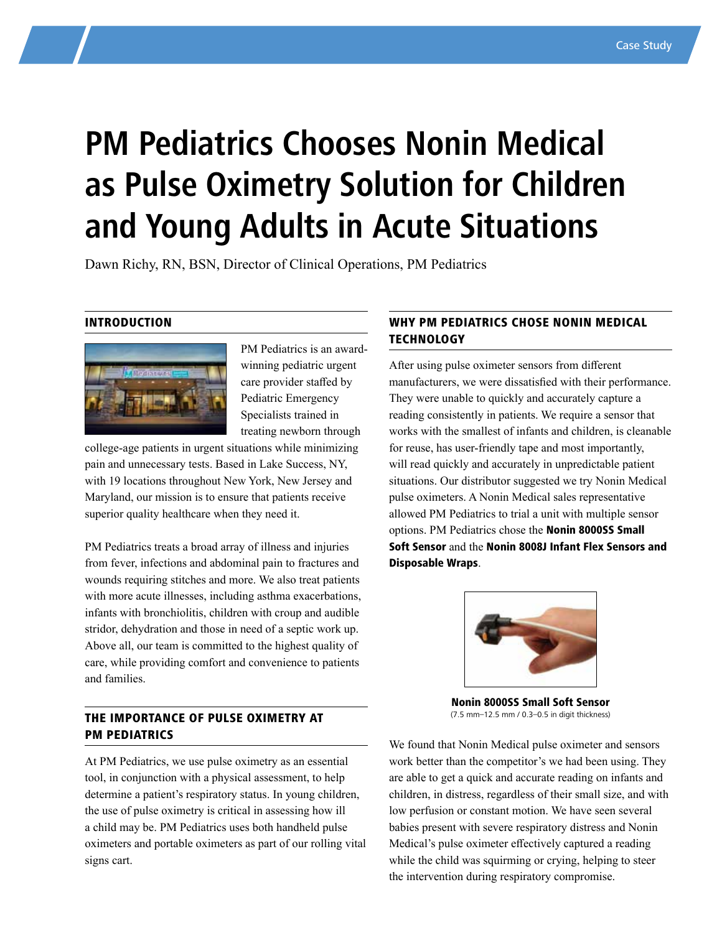# **PM Pediatrics Chooses Nonin Medical as Pulse Oximetry Solution for Children and Young Adults in Acute Situations**

Dawn Richy, RN, BSN, Director of Clinical Operations, PM Pediatrics

#### Introduction



PM Pediatrics is an awardwinning pediatric urgent care provider staffed by Pediatric Emergency Specialists trained in treating newborn through

college-age patients in urgent situations while minimizing pain and unnecessary tests. Based in Lake Success, NY, with 19 locations throughout New York, New Jersey and Maryland, our mission is to ensure that patients receive superior quality healthcare when they need it.

PM Pediatrics treats a broad array of illness and injuries from fever, infections and abdominal pain to fractures and wounds requiring stitches and more. We also treat patients with more acute illnesses, including asthma exacerbations, infants with bronchiolitis, children with croup and audible stridor, dehydration and those in need of a septic work up. Above all, our team is committed to the highest quality of care, while providing comfort and convenience to patients and families.

### The Importance of Pulse Oximetry at PM Pediatrics

At PM Pediatrics, we use pulse oximetry as an essential tool, in conjunction with a physical assessment, to help determine a patient's respiratory status. In young children,

## the use of pulse oximetry is critical in assessing how ill a child may be. PM Pediatrics uses both handheld pulse oximeters and portable oximeters as part of our rolling vital signs cart.

#### WHY PM PEDIATRICS CHOSE NONIN MEDICAL **TECHNOLOGY**

After using pulse oximeter sensors from different manufacturers, we were dissatisfied with their performance. They were unable to quickly and accurately capture a reading consistently in patients. We require a sensor that works with the smallest of infants and children, is cleanable for reuse, has user-friendly tape and most importantly, will read quickly and accurately in unpredictable patient situations. Our distributor suggested we try Nonin Medical pulse oximeters. A Nonin Medical sales representative allowed PM Pediatrics to trial a unit with multiple sensor options. PM Pediatrics chose the Nonin 8000SS Small Soft Sensor and the Nonin 8008J Infant Flex Sensors and Disposable Wraps.



Nonin 8000SS Small Soft Sensor (7.5 mm–12.5 mm / 0.3–0.5 in digit thickness)

We found that Nonin Medical pulse oximeter and sensors work better than the competitor's we had been using. They are able to get a quick and accurate reading on infants and children, in distress, regardless of their small size, and with low perfusion or constant motion. We have seen several babies present with severe respiratory distress and Nonin Medical's pulse oximeter effectively captured a reading while the child was squirming or crying, helping to steer the intervention during respiratory compromise.